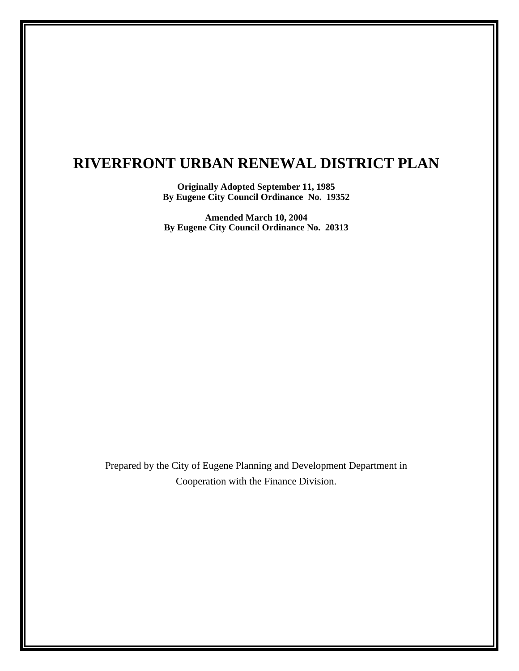# **RIVERFRONT URBAN RENEWAL DISTRICT PLAN**

**Originally Adopted September 11, 1985 By Eugene City Council Ordinance No. 19352** 

**Amended March 10, 2004 By Eugene City Council Ordinance No. 20313** 

Prepared by the City of Eugene Planning and Development Department in Cooperation with the Finance Division.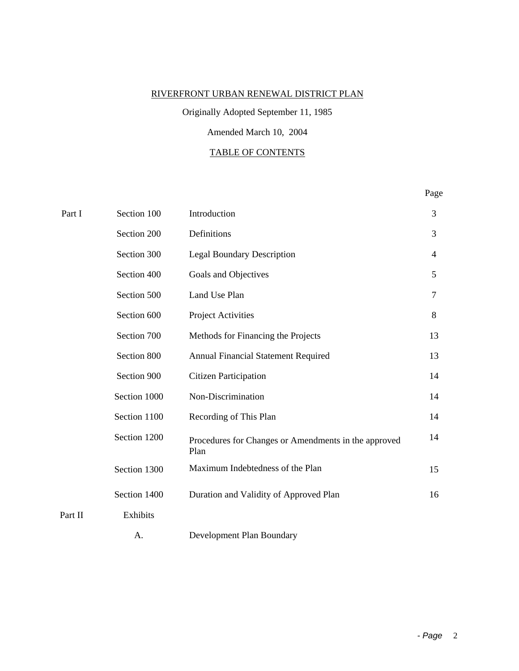# RIVERFRONT URBAN RENEWAL DISTRICT PLAN

# Originally Adopted September 11, 1985

# Amended March 10, 2004

# TABLE OF CONTENTS

# Page

| Part I  | Section 100  | Introduction                                                 | 3              |
|---------|--------------|--------------------------------------------------------------|----------------|
|         | Section 200  | Definitions                                                  | 3              |
|         | Section 300  | <b>Legal Boundary Description</b>                            | $\overline{4}$ |
|         | Section 400  | Goals and Objectives                                         | 5              |
|         | Section 500  | Land Use Plan                                                | $\tau$         |
|         | Section 600  | Project Activities                                           | 8              |
|         | Section 700  | Methods for Financing the Projects                           | 13             |
|         | Section 800  | Annual Financial Statement Required                          | 13             |
|         | Section 900  | <b>Citizen Participation</b>                                 | 14             |
|         | Section 1000 | Non-Discrimination                                           | 14             |
|         | Section 1100 | Recording of This Plan                                       | 14             |
|         | Section 1200 | Procedures for Changes or Amendments in the approved<br>Plan | 14             |
|         | Section 1300 | Maximum Indebtedness of the Plan                             | 15             |
|         | Section 1400 | Duration and Validity of Approved Plan                       | 16             |
| Part II | Exhibits     |                                                              |                |
|         | А.           | Development Plan Boundary                                    |                |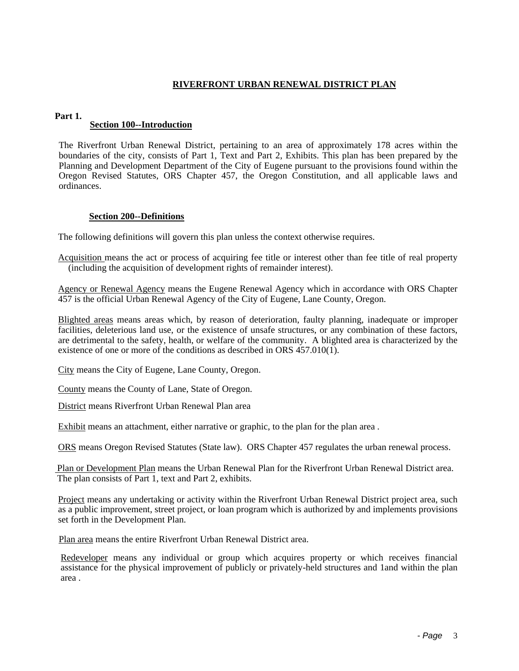# **RIVERFRONT URBAN RENEWAL DISTRICT PLAN**

#### **Part 1.**

#### **Section 100--Introduction**

The Riverfront Urban Renewal District, pertaining to an area of approximately 178 acres within the boundaries of the city, consists of Part 1, Text and Part 2, Exhibits. This plan has been prepared by the Planning and Development Department of the City of Eugene pursuant to the provisions found within the Oregon Revised Statutes, ORS Chapter 457, the Oregon Constitution, and all applicable laws and ordinances.

#### **Section 200--Definitions**

The following definitions will govern this plan unless the context otherwise requires.

Acquisition means the act or process of acquiring fee title or interest other than fee title of real property (including the acquisition of development rights of remainder interest).

Agency or Renewal Agency means the Eugene Renewal Agency which in accordance with ORS Chapter 457 is the official Urban Renewal Agency of the City of Eugene, Lane County, Oregon.

Blighted areas means areas which, by reason of deterioration, faulty planning, inadequate or improper facilities, deleterious land use, or the existence of unsafe structures, or any combination of these factors, are detrimental to the safety, health, or welfare of the community. A blighted area is characterized by the existence of one or more of the conditions as described in ORS 457.010(1).

City means the City of Eugene, Lane County, Oregon.

County means the County of Lane, State of Oregon.

District means Riverfront Urban Renewal Plan area

Exhibit means an attachment, either narrative or graphic, to the plan for the plan area .

ORS means Oregon Revised Statutes (State law). ORS Chapter 457 regulates the urban renewal process.

 Plan or Development Plan means the Urban Renewal Plan for the Riverfront Urban Renewal District area. The plan consists of Part 1, text and Part 2, exhibits.

Project means any undertaking or activity within the Riverfront Urban Renewal District project area, such as a public improvement, street project, or loan program which is authorized by and implements provisions set forth in the Development Plan.

Plan area means the entire Riverfront Urban Renewal District area.

Redeveloper means any individual or group which acquires property or which receives financial assistance for the physical improvement of publicly or privately-held structures and 1and within the plan area .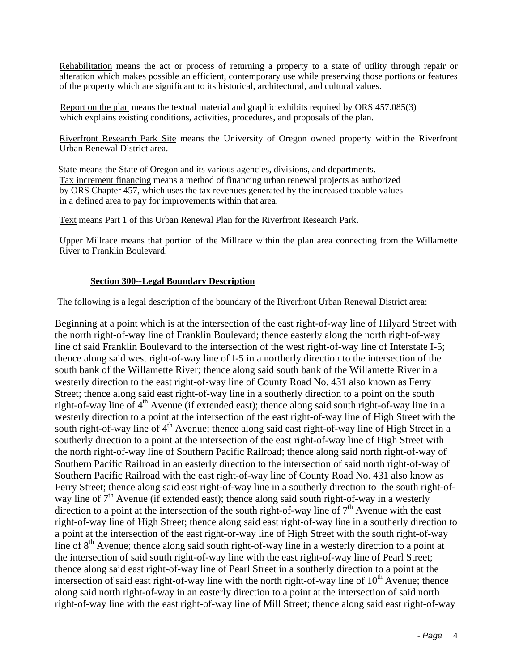Rehabilitation means the act or process of returning a property to a state of utility through repair or alteration which makes possible an efficient, contemporary use while preserving those portions or features of the property which are significant to its historical, architectural, and cultural values.

Report on the plan means the textual material and graphic exhibits required by ORS 457.085(3) which explains existing conditions, activities, procedures, and proposals of the plan.

Riverfront Research Park Site means the University of Oregon owned property within the Riverfront Urban Renewal District area.

State means the State of Oregon and its various agencies, divisions, and departments. Tax increment financing means a method of financing urban renewal projects as authorized by ORS Chapter 457, which uses the tax revenues generated by the increased taxable values in a defined area to pay for improvements within that area.

Text means Part 1 of this Urban Renewal Plan for the Riverfront Research Park.

Upper Millrace means that portion of the Millrace within the plan area connecting from the Willamette River to Franklin Boulevard.

#### **Section 300--Legal Boundary Description**

The following is a legal description of the boundary of the Riverfront Urban Renewal District area:

Beginning at a point which is at the intersection of the east right-of-way line of Hilyard Street with the north right-of-way line of Franklin Boulevard; thence easterly along the north right-of-way line of said Franklin Boulevard to the intersection of the west right-of-way line of Interstate I-5; thence along said west right-of-way line of I-5 in a northerly direction to the intersection of the south bank of the Willamette River; thence along said south bank of the Willamette River in a westerly direction to the east right-of-way line of County Road No. 431 also known as Ferry Street; thence along said east right-of-way line in a southerly direction to a point on the south right-of-way line of 4<sup>th</sup> Avenue (if extended east); thence along said south right-of-way line in a westerly direction to a point at the intersection of the east right-of-way line of High Street with the south right-of-way line of  $4<sup>th</sup>$  Avenue; thence along said east right-of-way line of High Street in a southerly direction to a point at the intersection of the east right-of-way line of High Street with the north right-of-way line of Southern Pacific Railroad; thence along said north right-of-way of Southern Pacific Railroad in an easterly direction to the intersection of said north right-of-way of Southern Pacific Railroad with the east right-of-way line of County Road No. 431 also know as Ferry Street; thence along said east right-of-way line in a southerly direction to the south right-ofway line of  $7<sup>th</sup>$  Avenue (if extended east); thence along said south right-of-way in a westerly direction to a point at the intersection of the south right-of-way line of 7<sup>th</sup> Avenue with the east right-of-way line of High Street; thence along said east right-of-way line in a southerly direction to a point at the intersection of the east right-or-way line of High Street with the south right-of-way line of  $8<sup>th</sup>$  Avenue; thence along said south right-of-way line in a westerly direction to a point at the intersection of said south right-of-way line with the east right-of-way line of Pearl Street; thence along said east right-of-way line of Pearl Street in a southerly direction to a point at the intersection of said east right-of-way line with the north right-of-way line of  $10<sup>th</sup>$  Avenue; thence along said north right-of-way in an easterly direction to a point at the intersection of said north right-of-way line with the east right-of-way line of Mill Street; thence along said east right-of-way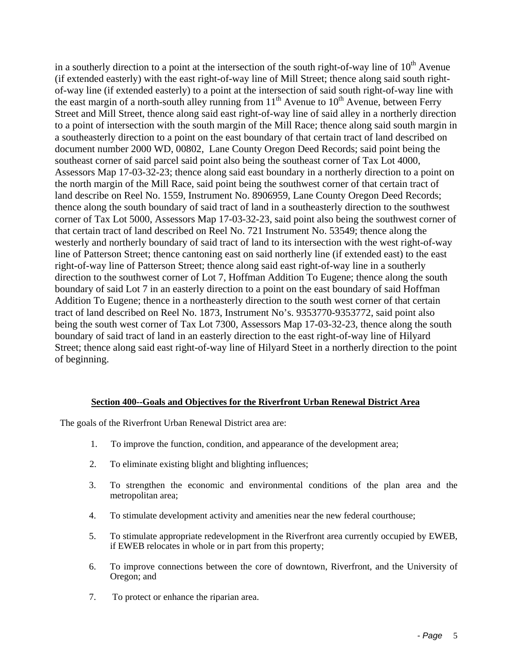in a southerly direction to a point at the intersection of the south right-of-way line of  $10<sup>th</sup>$  Avenue (if extended easterly) with the east right-of-way line of Mill Street; thence along said south rightof-way line (if extended easterly) to a point at the intersection of said south right-of-way line with the east margin of a north-south alley running from  $11<sup>th</sup>$  Avenue to  $10<sup>th</sup>$  Avenue, between Ferry Street and Mill Street, thence along said east right-of-way line of said alley in a northerly direction to a point of intersection with the south margin of the Mill Race; thence along said south margin in a southeasterly direction to a point on the east boundary of that certain tract of land described on document number 2000 WD, 00802, Lane County Oregon Deed Records; said point being the southeast corner of said parcel said point also being the southeast corner of Tax Lot 4000, Assessors Map 17-03-32-23; thence along said east boundary in a northerly direction to a point on the north margin of the Mill Race, said point being the southwest corner of that certain tract of land describe on Reel No. 1559, Instrument No. 8906959, Lane County Oregon Deed Records; thence along the south boundary of said tract of land in a southeasterly direction to the southwest corner of Tax Lot 5000, Assessors Map 17-03-32-23, said point also being the southwest corner of that certain tract of land described on Reel No. 721 Instrument No. 53549; thence along the westerly and northerly boundary of said tract of land to its intersection with the west right-of-way line of Patterson Street; thence cantoning east on said northerly line (if extended east) to the east right-of-way line of Patterson Street; thence along said east right-of-way line in a southerly direction to the southwest corner of Lot 7, Hoffman Addition To Eugene; thence along the south boundary of said Lot 7 in an easterly direction to a point on the east boundary of said Hoffman Addition To Eugene; thence in a northeasterly direction to the south west corner of that certain tract of land described on Reel No. 1873, Instrument No's. 9353770-9353772, said point also being the south west corner of Tax Lot 7300, Assessors Map 17-03-32-23, thence along the south boundary of said tract of land in an easterly direction to the east right-of-way line of Hilyard Street; thence along said east right-of-way line of Hilyard Steet in a northerly direction to the point of beginning.

# **Section 400--Goals and Objectives for the Riverfront Urban Renewal District Area**

The goals of the Riverfront Urban Renewal District area are:

- 1. To improve the function, condition, and appearance of the development area;
- 2. To eliminate existing blight and blighting influences;
- 3. To strengthen the economic and environmental conditions of the plan area and the metropolitan area;
- 4. To stimulate development activity and amenities near the new federal courthouse;
- 5. To stimulate appropriate redevelopment in the Riverfront area currently occupied by EWEB, if EWEB relocates in whole or in part from this property;
- 6. To improve connections between the core of downtown, Riverfront, and the University of Oregon; and
- 7. To protect or enhance the riparian area.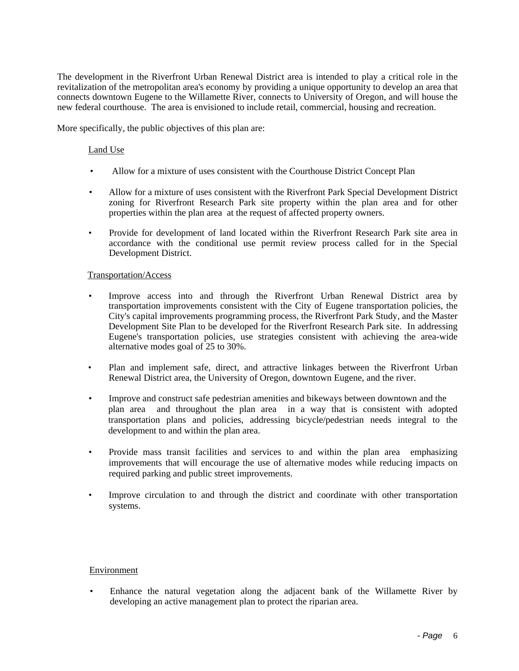The development in the Riverfront Urban Renewal District area is intended to play a critical role in the revitalization of the metropolitan area's economy by providing a unique opportunity to develop an area that connects downtown Eugene to the Willamette River, connects to University of Oregon, and will house the new federal courthouse. The area is envisioned to include retail, commercial, housing and recreation.

More specifically, the public objectives of this plan are:

#### Land Use

- Allow for a mixture of uses consistent with the Courthouse District Concept Plan
- Allow for a mixture of uses consistent with the Riverfront Park Special Development District zoning for Riverfront Research Park site property within the plan area and for other properties within the plan area at the request of affected property owners.
- Provide for development of land located within the Riverfront Research Park site area in accordance with the conditional use permit review process called for in the Special Development District.

#### Transportation/Access

- Improve access into and through the Riverfront Urban Renewal District area by transportation improvements consistent with the City of Eugene transportation policies, the City's capital improvements programming process, the Riverfront Park Study, and the Master Development Site Plan to be developed for the Riverfront Research Park site. In addressing Eugene's transportation policies, use strategies consistent with achieving the area-wide alternative modes goal of 25 to 30%.
- Plan and implement safe, direct, and attractive linkages between the Riverfront Urban Renewal District area, the University of Oregon, downtown Eugene, and the river.
- Improve and construct safe pedestrian amenities and bikeways between downtown and the plan area and throughout the plan area in a way that is consistent with adopted transportation plans and policies, addressing bicycle/pedestrian needs integral to the development to and within the plan area.
- Provide mass transit facilities and services to and within the plan area emphasizing improvements that will encourage the use of alternative modes while reducing impacts on required parking and public street improvements.
- Improve circulation to and through the district and coordinate with other transportation systems.

#### Environment

• Enhance the natural vegetation along the adjacent bank of the Willamette River by developing an active management plan to protect the riparian area.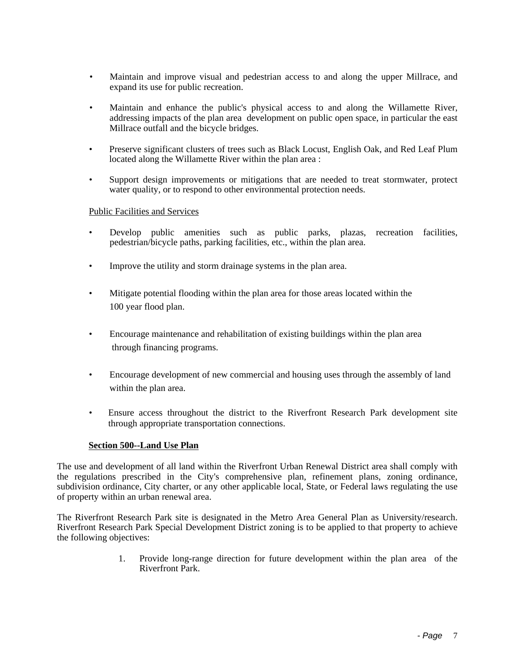- Maintain and improve visual and pedestrian access to and along the upper Millrace, and expand its use for public recreation.
- Maintain and enhance the public's physical access to and along the Willamette River, addressing impacts of the plan area development on public open space, in particular the east Millrace outfall and the bicycle bridges.
- Preserve significant clusters of trees such as Black Locust, English Oak, and Red Leaf Plum located along the Willamette River within the plan area :
- Support design improvements or mitigations that are needed to treat stormwater, protect water quality, or to respond to other environmental protection needs.

#### Public Facilities and Services

- Develop public amenities such as public parks, plazas, recreation facilities, pedestrian/bicycle paths, parking facilities, etc., within the plan area.
- Improve the utility and storm drainage systems in the plan area.
- Mitigate potential flooding within the plan area for those areas located within the 100 year flood plan.
- Encourage maintenance and rehabilitation of existing buildings within the plan area through financing programs.
- Encourage development of new commercial and housing uses through the assembly of land within the plan area.
- Ensure access throughout the district to the Riverfront Research Park development site through appropriate transportation connections.

#### **Section 500--Land Use Plan**

The use and development of all land within the Riverfront Urban Renewal District area shall comply with the regulations prescribed in the City's comprehensive plan, refinement plans, zoning ordinance, subdivision ordinance, City charter, or any other applicable local, State, or Federal laws regulating the use of property within an urban renewal area.

The Riverfront Research Park site is designated in the Metro Area General Plan as University/research. Riverfront Research Park Special Development District zoning is to be applied to that property to achieve the following objectives:

> 1. Provide long-range direction for future development within the plan area of the Riverfront Park.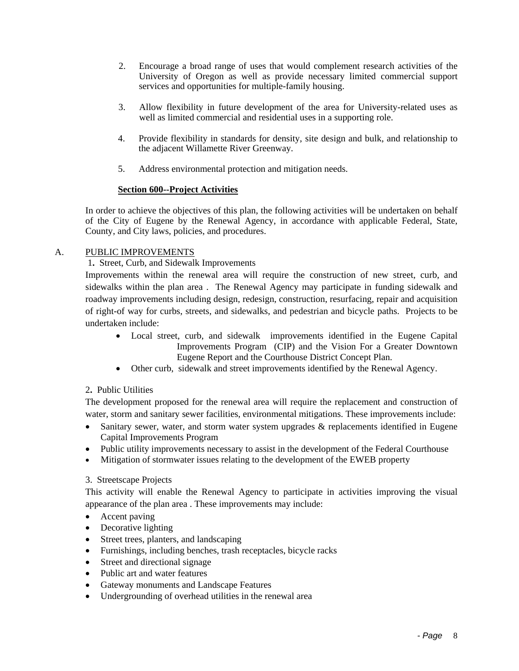- 2. Encourage a broad range of uses that would complement research activities of the University of Oregon as well as provide necessary limited commercial support services and opportunities for multiple-family housing.
- 3. Allow flexibility in future development of the area for University-related uses as well as limited commercial and residential uses in a supporting role.
- 4. Provide flexibility in standards for density, site design and bulk, and relationship to the adjacent Willamette River Greenway.
- 5. Address environmental protection and mitigation needs.

#### **Section 600--Project Activities**

In order to achieve the objectives of this plan, the following activities will be undertaken on behalf of the City of Eugene by the Renewal Agency, in accordance with applicable Federal, State, County, and City laws, policies, and procedures.

# A. PUBLIC IMPROVEMENTS

# 1**.** Street, Curb, and Sidewalk Improvements

Improvements within the renewal area will require the construction of new street, curb, and sidewalks within the plan area . The Renewal Agency may participate in funding sidewalk and roadway improvements including design, redesign, construction, resurfacing, repair and acquisition of right-of way for curbs, streets, and sidewalks, and pedestrian and bicycle paths. Projects to be undertaken include:

- Local street, curb, and sidewalk improvements identified in the Eugene Capital Improvements Program (CIP) and the Vision For a Greater Downtown Eugene Report and the Courthouse District Concept Plan.
- Other curb, sidewalk and street improvements identified by the Renewal Agency.

# 2**.** Public Utilities

The development proposed for the renewal area will require the replacement and construction of water, storm and sanitary sewer facilities, environmental mitigations. These improvements include:

- Sanitary sewer, water, and storm water system upgrades & replacements identified in Eugene Capital Improvements Program
- Public utility improvements necessary to assist in the development of the Federal Courthouse
- Mitigation of stormwater issues relating to the development of the EWEB property

#### 3. Streetscape Projects

This activity will enable the Renewal Agency to participate in activities improving the visual appearance of the plan area . These improvements may include:

- Accent paving
- Decorative lighting
- Street trees, planters, and landscaping
- Furnishings, including benches, trash receptacles, bicycle racks
- Street and directional signage
- Public art and water features
- Gateway monuments and Landscape Features
- Undergrounding of overhead utilities in the renewal area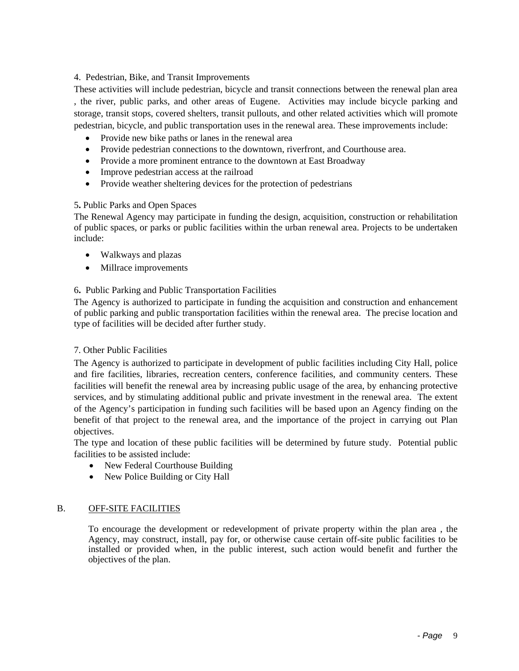### 4.Pedestrian, Bike, and Transit Improvements

These activities will include pedestrian, bicycle and transit connections between the renewal plan area , the river, public parks, and other areas of Eugene. Activities may include bicycle parking and storage, transit stops, covered shelters, transit pullouts, and other related activities which will promote pedestrian, bicycle, and public transportation uses in the renewal area. These improvements include:

- Provide new bike paths or lanes in the renewal area
- Provide pedestrian connections to the downtown, riverfront, and Courthouse area.
- Provide a more prominent entrance to the downtown at East Broadway
- Improve pedestrian access at the railroad
- Provide weather sheltering devices for the protection of pedestrians

#### 5**.** Public Parks and Open Spaces

The Renewal Agency may participate in funding the design, acquisition, construction or rehabilitation of public spaces, or parks or public facilities within the urban renewal area. Projects to be undertaken include:

- Walkways and plazas
- Millrace improvements

# 6**.** Public Parking and Public Transportation Facilities

The Agency is authorized to participate in funding the acquisition and construction and enhancement of public parking and public transportation facilities within the renewal area. The precise location and type of facilities will be decided after further study.

#### 7. Other Public Facilities

The Agency is authorized to participate in development of public facilities including City Hall, police and fire facilities, libraries, recreation centers, conference facilities, and community centers. These facilities will benefit the renewal area by increasing public usage of the area, by enhancing protective services, and by stimulating additional public and private investment in the renewal area. The extent of the Agency's participation in funding such facilities will be based upon an Agency finding on the benefit of that project to the renewal area, and the importance of the project in carrying out Plan objectives.

The type and location of these public facilities will be determined by future study. Potential public facilities to be assisted include:

- New Federal Courthouse Building
- New Police Building or City Hall

#### B. OFF-SITE FACILITIES

To encourage the development or redevelopment of private property within the plan area , the Agency, may construct, install, pay for, or otherwise cause certain off-site public facilities to be installed or provided when, in the public interest, such action would benefit and further the objectives of the plan.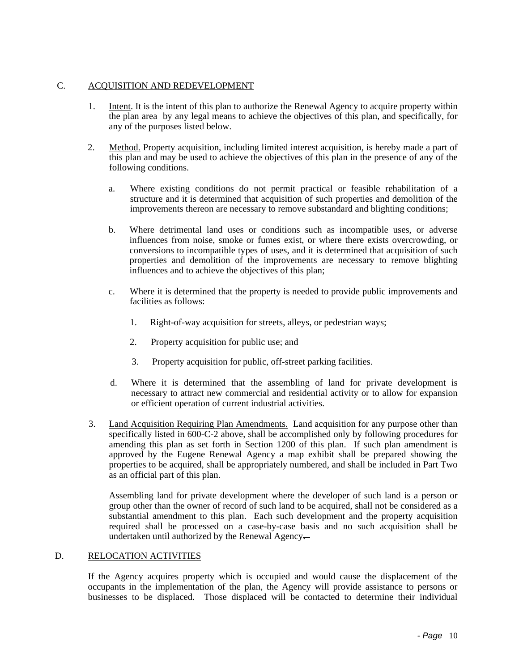#### C. ACQUISITION AND REDEVELOPMENT

- 1. Intent. It is the intent of this plan to authorize the Renewal Agency to acquire property within the plan area by any legal means to achieve the objectives of this plan, and specifically, for any of the purposes listed below.
- 2. Method. Property acquisition, including limited interest acquisition, is hereby made a part of this plan and may be used to achieve the objectives of this plan in the presence of any of the following conditions.
	- a. Where existing conditions do not permit practical or feasible rehabilitation of a structure and it is determined that acquisition of such properties and demolition of the improvements thereon are necessary to remove substandard and blighting conditions;
	- b. Where detrimental land uses or conditions such as incompatible uses, or adverse influences from noise, smoke or fumes exist, or where there exists overcrowding, or conversions to incompatible types of uses, and it is determined that acquisition of such properties and demolition of the improvements are necessary to remove blighting influences and to achieve the objectives of this plan;
	- c. Where it is determined that the property is needed to provide public improvements and facilities as follows:
		- 1. Right-of-way acquisition for streets, alleys, or pedestrian ways;
		- 2. Property acquisition for public use; and
		- 3. Property acquisition for public, off-street parking facilities.
	- d. Where it is determined that the assembling of land for private development is necessary to attract new commercial and residential activity or to allow for expansion or efficient operation of current industrial activities.
- 3. Land Acquisition Requiring Plan Amendments. Land acquisition for any purpose other than specifically listed in 600-C-2 above, shall be accomplished only by following procedures for amending this plan as set forth in Section 1200 of this plan. If such plan amendment is approved by the Eugene Renewal Agency a map exhibit shall be prepared showing the properties to be acquired, shall be appropriately numbered, and shall be included in Part Two as an official part of this plan.

Assembling land for private development where the developer of such land is a person or group other than the owner of record of such land to be acquired, shall not be considered as a substantial amendment to this plan. Each such development and the property acquisition required shall be processed on a case-by-case basis and no such acquisition shall be undertaken until authorized by the Renewal Agency.

#### D. RELOCATION ACTIVITIES

If the Agency acquires property which is occupied and would cause the displacement of the occupants in the implementation of the plan, the Agency will provide assistance to persons or businesses to be displaced. Those displaced will be contacted to determine their individual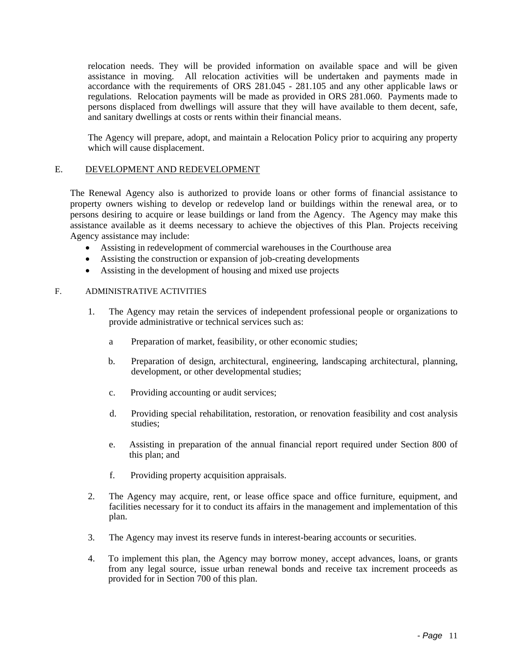relocation needs. They will be provided information on available space and will be given assistance in moving. All relocation activities will be undertaken and payments made in accordance with the requirements of ORS 281.045 - 281.105 and any other applicable laws or regulations. Relocation payments will be made as provided in ORS 281.060. Payments made to persons displaced from dwellings will assure that they will have available to them decent, safe, and sanitary dwellings at costs or rents within their financial means.

The Agency will prepare, adopt, and maintain a Relocation Policy prior to acquiring any property which will cause displacement.

#### E. DEVELOPMENT AND REDEVELOPMENT

The Renewal Agency also is authorized to provide loans or other forms of financial assistance to property owners wishing to develop or redevelop land or buildings within the renewal area, or to persons desiring to acquire or lease buildings or land from the Agency. The Agency may make this assistance available as it deems necessary to achieve the objectives of this Plan. Projects receiving Agency assistance may include:

- Assisting in redevelopment of commercial warehouses in the Courthouse area
- Assisting the construction or expansion of job-creating developments
- Assisting in the development of housing and mixed use projects

#### F. ADMINISTRATIVE ACTIVITIES

- 1. The Agency may retain the services of independent professional people or organizations to provide administrative or technical services such as:
	- a Preparation of market, feasibility, or other economic studies;
	- b. Preparation of design, architectural, engineering, landscaping architectural, planning, development, or other developmental studies;
	- c. Providing accounting or audit services;
	- d. Providing special rehabilitation, restoration, or renovation feasibility and cost analysis studies;
	- e. Assisting in preparation of the annual financial report required under Section 800 of this plan; and
	- f. Providing property acquisition appraisals.
- 2. The Agency may acquire, rent, or lease office space and office furniture, equipment, and facilities necessary for it to conduct its affairs in the management and implementation of this plan.
- 3. The Agency may invest its reserve funds in interest-bearing accounts or securities.
- 4. To implement this plan, the Agency may borrow money, accept advances, loans, or grants from any legal source, issue urban renewal bonds and receive tax increment proceeds as provided for in Section 700 of this plan.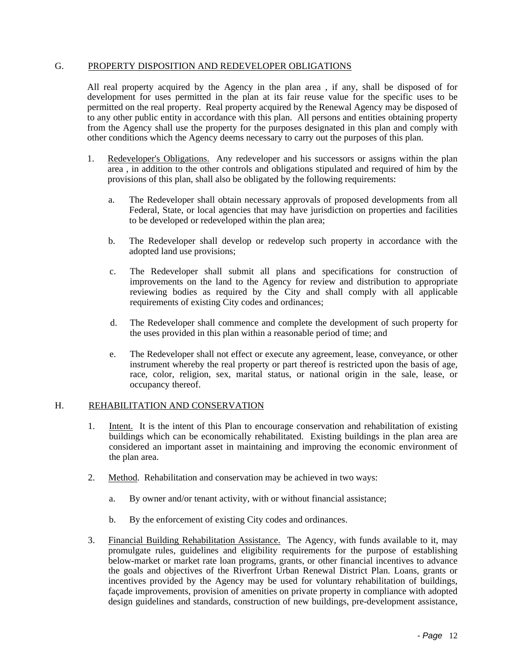#### G. PROPERTY DISPOSITION AND REDEVELOPER OBLIGATIONS

All real property acquired by the Agency in the plan area , if any, shall be disposed of for development for uses permitted in the plan at its fair reuse value for the specific uses to be permitted on the real property. Real property acquired by the Renewal Agency may be disposed of to any other public entity in accordance with this plan. All persons and entities obtaining property from the Agency shall use the property for the purposes designated in this plan and comply with other conditions which the Agency deems necessary to carry out the purposes of this plan.

- 1. Redeveloper's Obligations. Any redeveloper and his successors or assigns within the plan area , in addition to the other controls and obligations stipulated and required of him by the provisions of this plan, shall also be obligated by the following requirements:
	- a. The Redeveloper shall obtain necessary approvals of proposed developments from all Federal, State, or local agencies that may have jurisdiction on properties and facilities to be developed or redeveloped within the plan area;
	- b. The Redeveloper shall develop or redevelop such property in accordance with the adopted land use provisions;
	- c. The Redeveloper shall submit all plans and specifications for construction of improvements on the land to the Agency for review and distribution to appropriate reviewing bodies as required by the City and shall comply with all applicable requirements of existing City codes and ordinances;
	- d. The Redeveloper shall commence and complete the development of such property for the uses provided in this plan within a reasonable period of time; and
	- e. The Redeveloper shall not effect or execute any agreement, lease, conveyance, or other instrument whereby the real property or part thereof is restricted upon the basis of age, race, color, religion, sex, marital status, or national origin in the sale, lease, or occupancy thereof.

#### H. REHABILITATION AND CONSERVATION

- 1. Intent. It is the intent of this Plan to encourage conservation and rehabilitation of existing buildings which can be economically rehabilitated. Existing buildings in the plan area are considered an important asset in maintaining and improving the economic environment of the plan area.
- 2. Method. Rehabilitation and conservation may be achieved in two ways:
	- a. By owner and/or tenant activity, with or without financial assistance;
	- b. By the enforcement of existing City codes and ordinances.
- 3. Financial Building Rehabilitation Assistance. The Agency, with funds available to it, may promulgate rules, guidelines and eligibility requirements for the purpose of establishing below-market or market rate loan programs, grants, or other financial incentives to advance the goals and objectives of the Riverfront Urban Renewal District Plan. Loans, grants or incentives provided by the Agency may be used for voluntary rehabilitation of buildings, façade improvements, provision of amenities on private property in compliance with adopted design guidelines and standards, construction of new buildings, pre-development assistance,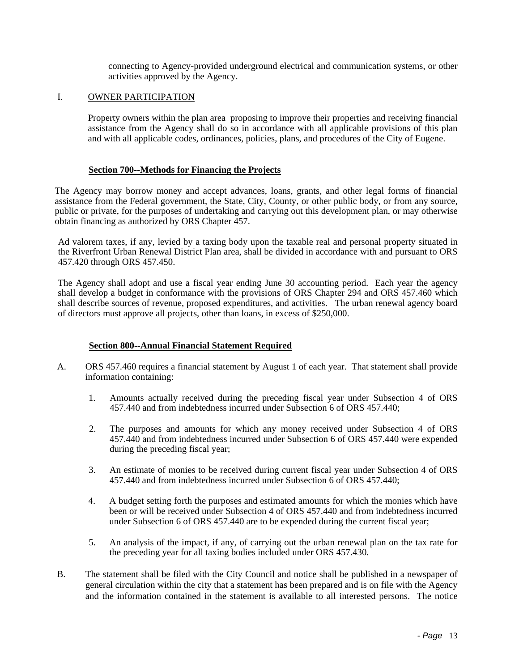connecting to Agency-provided underground electrical and communication systems, or other activities approved by the Agency.

#### I. OWNER PARTICIPATION

Property owners within the plan area proposing to improve their properties and receiving financial assistance from the Agency shall do so in accordance with all applicable provisions of this plan and with all applicable codes, ordinances, policies, plans, and procedures of the City of Eugene.

#### **Section 700--Methods for Financing the Projects**

The Agency may borrow money and accept advances, loans, grants, and other legal forms of financial assistance from the Federal government, the State, City, County, or other public body, or from any source, public or private, for the purposes of undertaking and carrying out this development plan, or may otherwise obtain financing as authorized by ORS Chapter 457.

Ad valorem taxes, if any, levied by a taxing body upon the taxable real and personal property situated in the Riverfront Urban Renewal District Plan area, shall be divided in accordance with and pursuant to ORS 457.420 through ORS 457.450.

The Agency shall adopt and use a fiscal year ending June 30 accounting period. Each year the agency shall develop a budget in conformance with the provisions of ORS Chapter 294 and ORS 457.460 which shall describe sources of revenue, proposed expenditures, and activities. The urban renewal agency board of directors must approve all projects, other than loans, in excess of \$250,000.

#### **Section 800--Annual Financial Statement Required**

- A. ORS 457.460 requires a financial statement by August 1 of each year. That statement shall provide information containing:
	- 1. Amounts actually received during the preceding fiscal year under Subsection 4 of ORS 457.440 and from indebtedness incurred under Subsection 6 of ORS 457.440;
	- 2. The purposes and amounts for which any money received under Subsection 4 of ORS 457.440 and from indebtedness incurred under Subsection 6 of ORS 457.440 were expended during the preceding fiscal year;
	- 3. An estimate of monies to be received during current fiscal year under Subsection 4 of ORS 457.440 and from indebtedness incurred under Subsection 6 of ORS 457.440;
	- 4. A budget setting forth the purposes and estimated amounts for which the monies which have been or will be received under Subsection 4 of ORS 457.440 and from indebtedness incurred under Subsection 6 of ORS 457.440 are to be expended during the current fiscal year;
	- 5. An analysis of the impact, if any, of carrying out the urban renewal plan on the tax rate for the preceding year for all taxing bodies included under ORS 457.430.
- B. The statement shall be filed with the City Council and notice shall be published in a newspaper of general circulation within the city that a statement has been prepared and is on file with the Agency and the information contained in the statement is available to all interested persons. The notice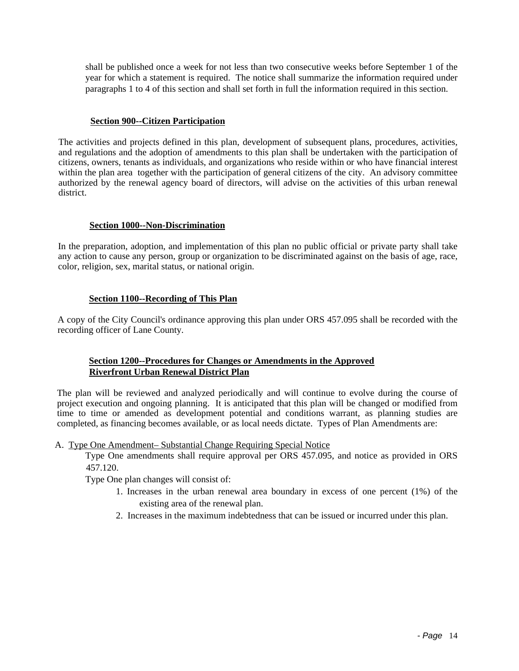shall be published once a week for not less than two consecutive weeks before September 1 of the year for which a statement is required. The notice shall summarize the information required under paragraphs 1 to 4 of this section and shall set forth in full the information required in this section.

#### **Section 900--Citizen Participation**

The activities and projects defined in this plan, development of subsequent plans, procedures, activities, and regulations and the adoption of amendments to this plan shall be undertaken with the participation of citizens, owners, tenants as individuals, and organizations who reside within or who have financial interest within the plan area together with the participation of general citizens of the city. An advisory committee authorized by the renewal agency board of directors, will advise on the activities of this urban renewal district.

#### **Section 1000--Non-Discrimination**

In the preparation, adoption, and implementation of this plan no public official or private party shall take any action to cause any person, group or organization to be discriminated against on the basis of age, race, color, religion, sex, marital status, or national origin.

# **Section 1100--Recording of This Plan**

A copy of the City Council's ordinance approving this plan under ORS 457.095 shall be recorded with the recording officer of Lane County.

# **Section 1200--Procedures for Changes or Amendments in the Approved Riverfront Urban Renewal District Plan**

The plan will be reviewed and analyzed periodically and will continue to evolve during the course of project execution and ongoing planning. It is anticipated that this plan will be changed or modified from time to time or amended as development potential and conditions warrant, as planning studies are completed, as financing becomes available, or as local needs dictate. Types of Plan Amendments are:

A. Type One Amendment– Substantial Change Requiring Special Notice

Type One amendments shall require approval per ORS 457.095, and notice as provided in ORS 457.120.

Type One plan changes will consist of:

- 1. Increases in the urban renewal area boundary in excess of one percent (1%) of the existing area of the renewal plan.
- 2. Increases in the maximum indebtedness that can be issued or incurred under this plan.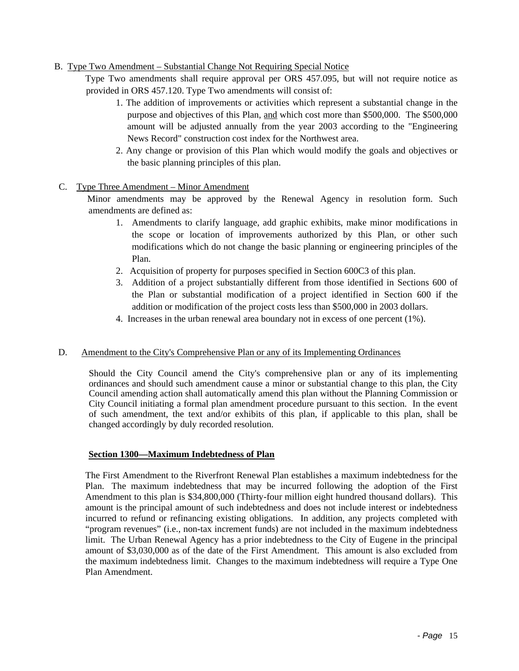### B. Type Two Amendment – Substantial Change Not Requiring Special Notice

Type Two amendments shall require approval per ORS 457.095, but will not require notice as provided in ORS 457.120. Type Two amendments will consist of:

- 1. The addition of improvements or activities which represent a substantial change in the purpose and objectives of this Plan, and which cost more than \$500,000. The \$500,000 amount will be adjusted annually from the year 2003 according to the "Engineering News Record" construction cost index for the Northwest area.
- 2. Any change or provision of this Plan which would modify the goals and objectives or the basic planning principles of this plan.

#### C. Type Three Amendment – Minor Amendment

Minor amendments may be approved by the Renewal Agency in resolution form. Such amendments are defined as:

- 1. Amendments to clarify language, add graphic exhibits, make minor modifications in the scope or location of improvements authorized by this Plan, or other such modifications which do not change the basic planning or engineering principles of the Plan.
- 2. Acquisition of property for purposes specified in Section 600C3 of this plan.
- 3. Addition of a project substantially different from those identified in Sections 600 of the Plan or substantial modification of a project identified in Section 600 if the addition or modification of the project costs less than \$500,000 in 2003 dollars.
- 4. Increases in the urban renewal area boundary not in excess of one percent (1%).

#### D. Amendment to the City's Comprehensive Plan or any of its Implementing Ordinances

Should the City Council amend the City's comprehensive plan or any of its implementing ordinances and should such amendment cause a minor or substantial change to this plan, the City Council amending action shall automatically amend this plan without the Planning Commission or City Council initiating a formal plan amendment procedure pursuant to this section. In the event of such amendment, the text and/or exhibits of this plan, if applicable to this plan, shall be changed accordingly by duly recorded resolution.

#### **Section 1300—Maximum Indebtedness of Plan**

The First Amendment to the Riverfront Renewal Plan establishes a maximum indebtedness for the Plan. The maximum indebtedness that may be incurred following the adoption of the First Amendment to this plan is \$34,800,000 (Thirty-four million eight hundred thousand dollars). This amount is the principal amount of such indebtedness and does not include interest or indebtedness incurred to refund or refinancing existing obligations. In addition, any projects completed with "program revenues" (i.e., non-tax increment funds) are not included in the maximum indebtedness limit. The Urban Renewal Agency has a prior indebtedness to the City of Eugene in the principal amount of \$3,030,000 as of the date of the First Amendment. This amount is also excluded from the maximum indebtedness limit. Changes to the maximum indebtedness will require a Type One Plan Amendment.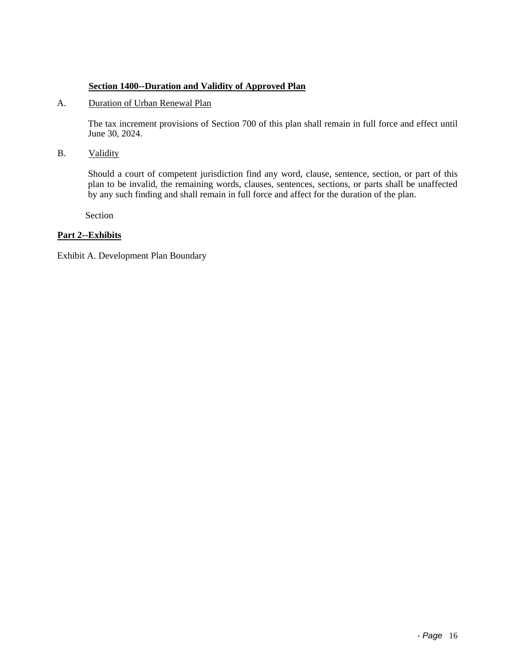### **Section 1400--Duration and Validity of Approved Plan**

# A. Duration of Urban Renewal Plan

The tax increment provisions of Section 700 of this plan shall remain in full force and effect until June 30, 2024.

B. Validity

Should a court of competent jurisdiction find any word, clause, sentence, section, or part of this plan to be invalid, the remaining words, clauses, sentences, sections, or parts shall be unaffected by any such finding and shall remain in full force and affect for the duration of the plan.

Section

# **Part 2--Exhibits**

Exhibit A. Development Plan Boundary